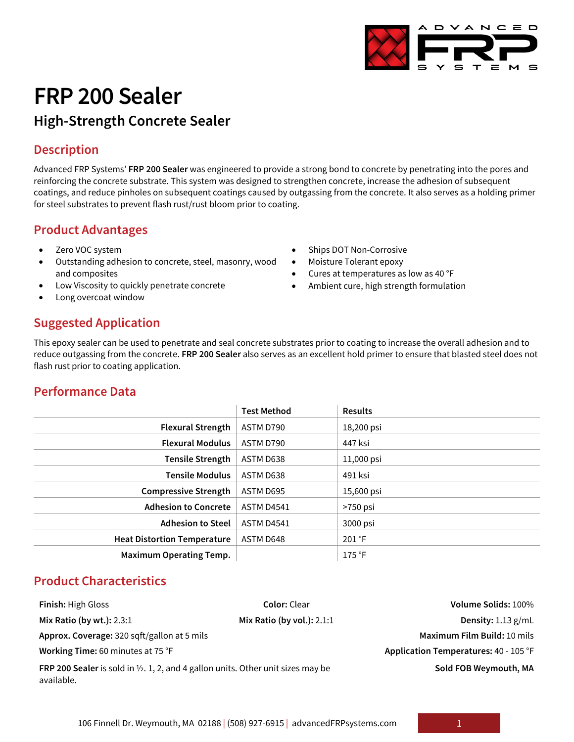# **FRP 200 Sealer**

# **High-Strength Concrete Sealer**

## **Description**

Advanced FRP Systems' **FRP 200 Sealer** was engineered to provide a strong bond to concrete by penetrating into the pores and reinforcing the concrete substrate. This system was designed to strengthen concrete, increase the adhesion of subsequent coatings, and reduce pinholes on subsequent coatings caused by outgassing from the concrete. It also serves as a holding primer for steel substrates to prevent flash rust/rust bloom prior to coating.

> Ships DOT Non-Corrosive • Moisture Tolerant epoxy

• Cures at temperatures as low as 40 °F • Ambient cure, high strength formulation

## **Product Advantages**

- Zero VOC system
- Outstanding adhesion to concrete, steel, masonry, wood and composites
- Low Viscosity to quickly penetrate concrete
- Long overcoat window

# **Suggested Application**

This epoxy sealer can be used to penetrate and seal concrete substrates prior to coating to increase the overall adhesion and to reduce outgassing from the concrete. **FRP 200 Sealer** also serves as an excellent hold primer to ensure that blasted steel does not flash rust prior to coating application.

## **Performance Data**

|                                    | <b>Test Method</b> | <b>Results</b> |
|------------------------------------|--------------------|----------------|
| <b>Flexural Strength</b>           | ASTM D790          | 18,200 psi     |
| <b>Flexural Modulus</b>            | ASTM D790          | 447 ksi        |
| <b>Tensile Strength</b>            | ASTM D638          | 11,000 psi     |
| <b>Tensile Modulus</b>             | ASTM D638          | 491 ksi        |
| <b>Compressive Strength</b>        | ASTM D695          | 15,600 psi     |
| <b>Adhesion to Concrete</b>        | ASTM D4541         | >750 psi       |
| <b>Adhesion to Steel</b>           | <b>ASTM D4541</b>  | 3000 psi       |
| <b>Heat Distortion Temperature</b> | ASTM D648          | 201 °F         |
| <b>Maximum Operating Temp.</b>     |                    | 175 °F         |

## **Product Characteristics**

| <b>Finish: High Gloss</b>                                                                      | <b>Color: Clear</b>          | Volume Solids: 100%                   |
|------------------------------------------------------------------------------------------------|------------------------------|---------------------------------------|
| Mix Ratio (by wt.): 2.3:1                                                                      | Mix Ratio (by vol.): $2.1:1$ | Density: $1.13$ g/mL                  |
| Approx. Coverage: 320 sqft/gallon at 5 mils                                                    |                              | Maximum Film Build: 10 mils           |
| Working Time: 60 minutes at 75 °F                                                              |                              | Application Temperatures: 40 - 105 °F |
| FRP 200 Sealer is sold in 1/2. 1, 2, and 4 gallon units. Other unit sizes may be<br>available. |                              | Sold FOB Weymouth, MA                 |

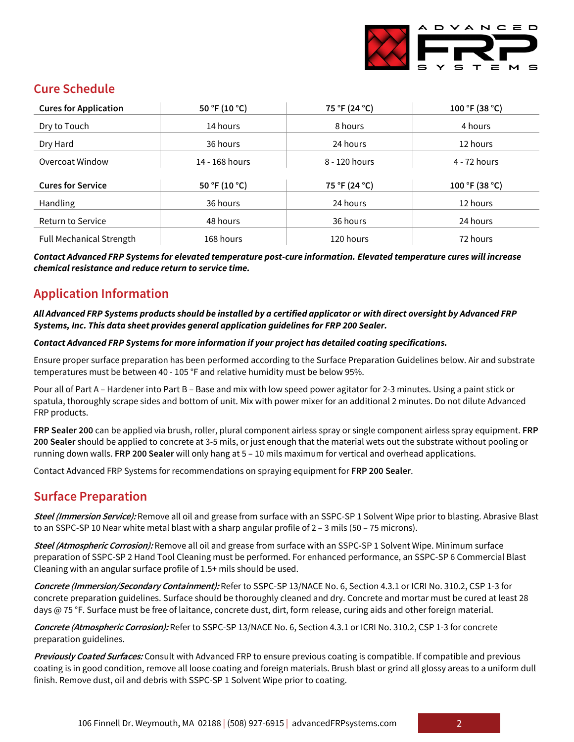

## **Cure Schedule**

| <b>Cures for Application</b>    | 50 °F (10 °C)  | 75 °F (24 °C) | 100 °F (38 °C) |
|---------------------------------|----------------|---------------|----------------|
| Dry to Touch                    | 14 hours       | 8 hours       | 4 hours        |
| Dry Hard                        | 36 hours       | 24 hours      | 12 hours       |
| Overcoat Window                 | 14 - 168 hours | 8 - 120 hours | 4 - 72 hours   |
| <b>Cures for Service</b>        | 50 °F (10 °C)  | 75 °F (24 °C) | 100 °F (38 °C) |
|                                 |                |               |                |
| Handling                        | 36 hours       | 24 hours      | 12 hours       |
| <b>Return to Service</b>        | 48 hours       | 36 hours      | 24 hours       |
| <b>Full Mechanical Strength</b> | 168 hours      | 120 hours     | 72 hours       |

*Contact Advanced FRP Systems for elevated temperature post-cure information. Elevated temperature cures will increase chemical resistance and reduce return to service time.*

# **Application Information**

#### *All Advanced FRP Systems products should be installed by a certified applicator or with direct oversight by Advanced FRP Systems, Inc. This data sheet provides general application guidelines for FRP 200 Sealer.*

#### *Contact Advanced FRP Systems for more information if your project has detailed coating specifications.*

Ensure proper surface preparation has been performed according to the Surface Preparation Guidelines below. Air and substrate temperatures must be between 40 - 105 °F and relative humidity must be below 95%.

Pour all of Part A – Hardener into Part B – Base and mix with low speed power agitator for 2-3 minutes. Using a paint stick or spatula, thoroughly scrape sides and bottom of unit. Mix with power mixer for an additional 2 minutes. Do not dilute Advanced FRP products.

**FRP Sealer 200** can be applied via brush, roller, plural component airless spray or single component airless spray equipment. **FRP 200 Sealer** should be applied to concrete at 3-5 mils, or just enough that the material wets out the substrate without pooling or running down walls. **FRP 200 Sealer** will only hang at 5 – 10 mils maximum for vertical and overhead applications.

Contact Advanced FRP Systems for recommendations on spraying equipment for **FRP 200 Sealer**.

#### **Surface Preparation**

**Steel (Immersion Service):** Remove all oil and grease from surface with an SSPC-SP 1 Solvent Wipe prior to blasting. Abrasive Blast to an SSPC-SP 10 Near white metal blast with a sharp angular profile of 2 – 3 mils (50 – 75 microns).

**Steel (Atmospheric Corrosion):** Remove all oil and grease from surface with an SSPC-SP 1 Solvent Wipe. Minimum surface preparation of SSPC-SP 2 Hand Tool Cleaning must be performed. For enhanced performance, an SSPC-SP 6 Commercial Blast Cleaning with an angular surface profile of 1.5+ mils should be used.

**Concrete (Immersion/Secondary Containment):** Refer to SSPC-SP 13/NACE No. 6, Section 4.3.1 or ICRI No. 310.2, CSP 1-3 for concrete preparation guidelines. Surface should be thoroughly cleaned and dry. Concrete and mortar must be cured at least 28 days @ 75 °F. Surface must be free of laitance, concrete dust, dirt, form release, curing aids and other foreign material.

**Concrete (Atmospheric Corrosion):** Refer to SSPC-SP 13/NACE No. 6, Section 4.3.1 or ICRI No. 310.2, CSP 1-3 for concrete preparation guidelines.

**Previously Coated Surfaces:** Consult with Advanced FRP to ensure previous coating is compatible. If compatible and previous coating is in good condition, remove all loose coating and foreign materials. Brush blast or grind all glossy areas to a uniform dull finish. Remove dust, oil and debris with SSPC-SP 1 Solvent Wipe prior to coating.